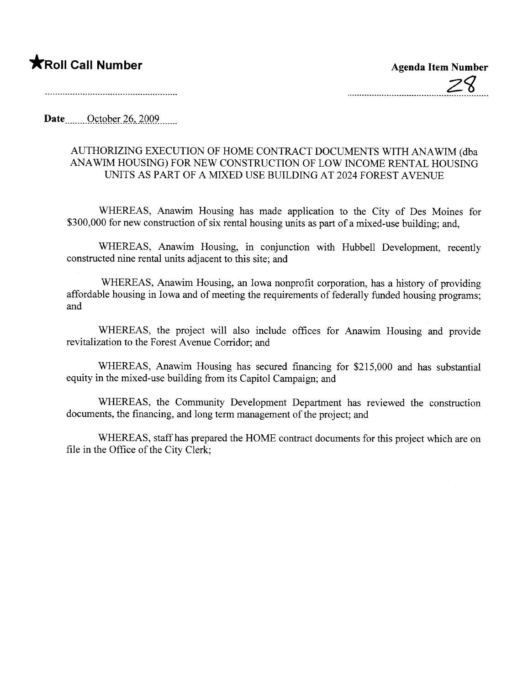## \*Roll Call Number Agenda Item Number

Date  $\frac{\text{October }26,2009}{\text{October }26}$ 

## AUTHORIZING EXECUTION OF HOME CONTRACT DOCUMENTS WITH ANA WIM (dba ANA WIM HOUSING) FOR NEW CONSTRUCTION OF LOW INCOME RENTAL HOUSING UNITS AS PART OF A MIXED USE BUILDING AT 2024 FOREST AVENUE

WHEREAS, Anawim Housing has made application to the City of Des Moines for \$300,000 for new construction of six rental housing units as part of a mixed-use building; and,

WHEREAS, Anawim Housing, in conjunction with Hubbell Development, recently constructed nine rental units adjacent to this site; and

WHEREAS, Anawim Housing, an Iowa nonprofit corporation, has a history of providing affordable housing in Iowa and of meeting the requirements of federally funded housing programs; and

WHEREAS, the project will also include offices for Anawim Housing and provide revitalization to the Forest Avenue Corridor; and

WHEREAS, Anawim Housing has secured financing for \$215,000 and has substantial equity in the mixed-use building from its Capitol Campaign; and

WHEREAS, the Community Development Department has reviewed the construction documents, the financing, and long term management of the project; and

WHEREAS, staff has prepared the HOME contract documents for this project which are on file in the Office of the City Clerk;